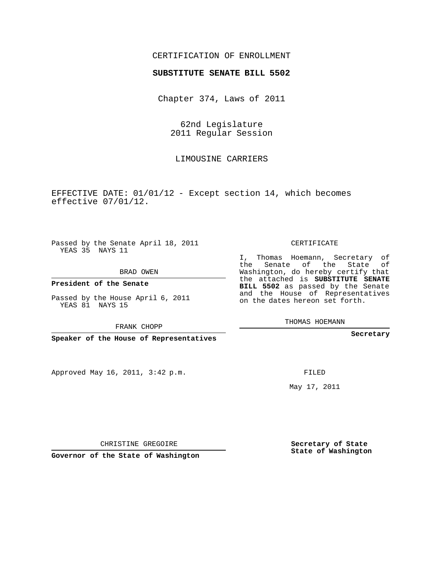## CERTIFICATION OF ENROLLMENT

## **SUBSTITUTE SENATE BILL 5502**

Chapter 374, Laws of 2011

62nd Legislature 2011 Regular Session

LIMOUSINE CARRIERS

EFFECTIVE DATE: 01/01/12 - Except section 14, which becomes effective 07/01/12.

Passed by the Senate April 18, 2011 YEAS 35 NAYS 11

BRAD OWEN

**President of the Senate**

Passed by the House April 6, 2011 YEAS 81 NAYS 15

FRANK CHOPP

**Speaker of the House of Representatives**

Approved May 16, 2011, 3:42 p.m.

CERTIFICATE

I, Thomas Hoemann, Secretary of the Senate of the State of Washington, do hereby certify that the attached is **SUBSTITUTE SENATE BILL 5502** as passed by the Senate and the House of Representatives on the dates hereon set forth.

THOMAS HOEMANN

**Secretary**

FILED

May 17, 2011

**Secretary of State State of Washington**

CHRISTINE GREGOIRE

**Governor of the State of Washington**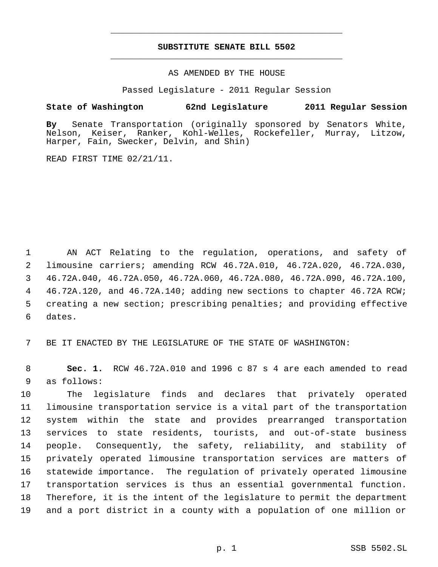## **SUBSTITUTE SENATE BILL 5502** \_\_\_\_\_\_\_\_\_\_\_\_\_\_\_\_\_\_\_\_\_\_\_\_\_\_\_\_\_\_\_\_\_\_\_\_\_\_\_\_\_\_\_\_\_

\_\_\_\_\_\_\_\_\_\_\_\_\_\_\_\_\_\_\_\_\_\_\_\_\_\_\_\_\_\_\_\_\_\_\_\_\_\_\_\_\_\_\_\_\_

AS AMENDED BY THE HOUSE

Passed Legislature - 2011 Regular Session

## **State of Washington 62nd Legislature 2011 Regular Session**

**By** Senate Transportation (originally sponsored by Senators White, Nelson, Keiser, Ranker, Kohl-Welles, Rockefeller, Murray, Litzow, Harper, Fain, Swecker, Delvin, and Shin)

READ FIRST TIME 02/21/11.

 AN ACT Relating to the regulation, operations, and safety of limousine carriers; amending RCW 46.72A.010, 46.72A.020, 46.72A.030, 46.72A.040, 46.72A.050, 46.72A.060, 46.72A.080, 46.72A.090, 46.72A.100, 46.72A.120, and 46.72A.140; adding new sections to chapter 46.72A RCW; creating a new section; prescribing penalties; and providing effective dates.

BE IT ENACTED BY THE LEGISLATURE OF THE STATE OF WASHINGTON:

 **Sec. 1.** RCW 46.72A.010 and 1996 c 87 s 4 are each amended to read as follows:

 The legislature finds and declares that privately operated limousine transportation service is a vital part of the transportation system within the state and provides prearranged transportation services to state residents, tourists, and out-of-state business people. Consequently, the safety, reliability, and stability of privately operated limousine transportation services are matters of statewide importance. The regulation of privately operated limousine transportation services is thus an essential governmental function. Therefore, it is the intent of the legislature to permit the department and a port district in a county with a population of one million or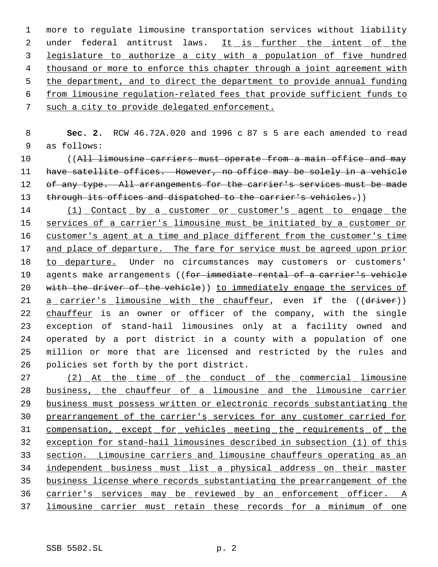more to regulate limousine transportation services without liability 2 under federal antitrust laws. It is further the intent of the legislature to authorize a city with a population of five hundred thousand or more to enforce this chapter through a joint agreement with 5 the department, and to direct the department to provide annual funding from limousine regulation-related fees that provide sufficient funds to such a city to provide delegated enforcement.

- 8 **Sec. 2.** RCW 46.72A.020 and 1996 c 87 s 5 are each amended to read 9 as follows:
- 10 (All limousine carriers must operate from a main office and may 11 have satellite offices. However, no office may be solely in a vehicle 12 of any type. All arrangements for the carrier's services must be made 13 through its offices and dispatched to the carrier's vehicles.))
- 14 (1) Contact by a customer or customer's agent to engage the 15 services of a carrier's limousine must be initiated by a customer or 16 customer's agent at a time and place different from the customer's time 17 and place of departure. The fare for service must be agreed upon prior 18 to departure. Under no circumstances may customers or customers' 19 agents make arrangements ((for immediate rental of a carrier's vehicle 20 with the driver of the vehicle)) to immediately engage the services of 21 a carrier's limousine with the chauffeur, even if the ((driver)) 22 chauffeur is an owner or officer of the company, with the single 23 exception of stand-hail limousines only at a facility owned and 24 operated by a port district in a county with a population of one 25 million or more that are licensed and restricted by the rules and 26 policies set forth by the port district.
- 27 (2) At the time of the conduct of the commercial limousine 28 business, the chauffeur of a limousine and the limousine carrier 29 business must possess written or electronic records substantiating the 30 prearrangement of the carrier's services for any customer carried for 31 compensation, except for vehicles meeting the requirements of the 32 exception for stand-hail limousines described in subsection (1) of this 33 section. Limousine carriers and limousine chauffeurs operating as an 34 independent business must list a physical address on their master 35 business license where records substantiating the prearrangement of the 36 carrier's services may be reviewed by an enforcement officer. A 37 limousine carrier must retain these records for a minimum of one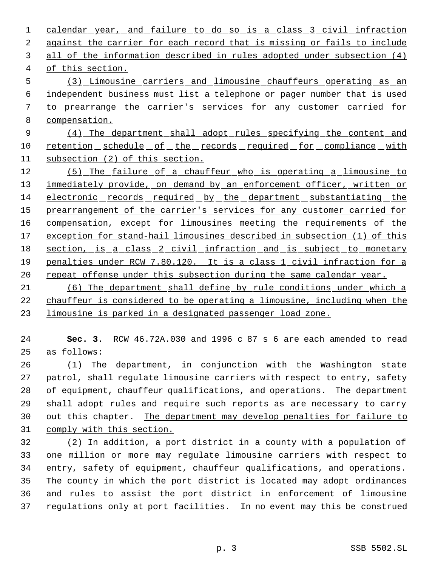1 calendar year, and failure to do so is a class 3 civil infraction against the carrier for each record that is missing or fails to include all of the information described in rules adopted under subsection (4) of this section. (3) Limousine carriers and limousine chauffeurs operating as an independent business must list a telephone or pager number that is used 7 to prearrange the carrier's services for any customer carried for compensation. (4) The department shall adopt rules specifying the content and 10 retention schedule of the records required for compliance with subsection (2) of this section. (5) The failure of a chauffeur who is operating a limousine to 13 immediately provide, on demand by an enforcement officer, written or electronic records required by the department substantiating the 15 prearrangement of the carrier's services for any customer carried for 16 compensation, except for limousines meeting the requirements of the 17 exception for stand-hail limousines described in subsection (1) of this section, is a class 2 civil infraction and is subject to monetary penalties under RCW 7.80.120. It is a class 1 civil infraction for a 20 repeat offense under this subsection during the same calendar year. (6) The department shall define by rule conditions under which a

 chauffeur is considered to be operating a limousine, including when the limousine is parked in a designated passenger load zone.

 **Sec. 3.** RCW 46.72A.030 and 1996 c 87 s 6 are each amended to read as follows:

 (1) The department, in conjunction with the Washington state patrol, shall regulate limousine carriers with respect to entry, safety of equipment, chauffeur qualifications, and operations. The department shall adopt rules and require such reports as are necessary to carry 30 out this chapter. The department may develop penalties for failure to comply with this section.

 (2) In addition, a port district in a county with a population of one million or more may regulate limousine carriers with respect to entry, safety of equipment, chauffeur qualifications, and operations. The county in which the port district is located may adopt ordinances and rules to assist the port district in enforcement of limousine regulations only at port facilities. In no event may this be construed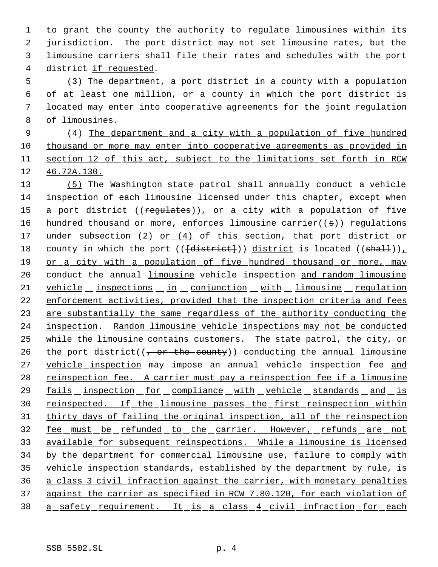to grant the county the authority to regulate limousines within its jurisdiction. The port district may not set limousine rates, but the limousine carriers shall file their rates and schedules with the port district if requested.

 (3) The department, a port district in a county with a population of at least one million, or a county in which the port district is located may enter into cooperative agreements for the joint regulation of limousines.

 (4) The department and a city with a population of five hundred thousand or more may enter into cooperative agreements as provided in 11 section 12 of this act, subject to the limitations set forth in RCW 46.72A.130.

13 (5) The Washington state patrol shall annually conduct a vehicle 14 inspection of each limousine licensed under this chapter, except when 15 a port district ((regulates)), or a city with a population of five 16 hundred thousand or more, enforces limousine carrier((s)) regulations 17 under subsection (2)  $or (4)$  of this section, that port district or 18 county in which the port ((<del>[district]</del>)) district is located ((shall)), 19 or a city with a population of five hundred thousand or more, may 20 conduct the annual limousine vehicle inspection and random limousine 21 vehicle inspections in conjunction with limousine regulation 22 enforcement activities, provided that the inspection criteria and fees 23 are substantially the same regardless of the authority conducting the 24 inspection. Random limousine vehicle inspections may not be conducted 25 while the limousine contains customers. The state patrol, the city, or 26 the port district( $(-$  or the county)) conducting the annual limousine 27 vehicle inspection may impose an annual vehicle inspection fee and 28 reinspection fee. A carrier must pay a reinspection fee if a limousine 29 fails inspection for compliance with vehicle standards and is 30 reinspected. If the limousine passes the first reinspection within 31 thirty days of failing the original inspection, all of the reinspection 32 <u>fee must be refunded to the carrier. However, refunds are not</u> 33 available for subsequent reinspections. While a limousine is licensed 34 by the department for commercial limousine use, failure to comply with 35 vehicle inspection standards, established by the department by rule, is 36 a class 3 civil infraction against the carrier, with monetary penalties 37 against the carrier as specified in RCW 7.80.120, for each violation of 38 a safety requirement. It is a class 4 civil infraction for each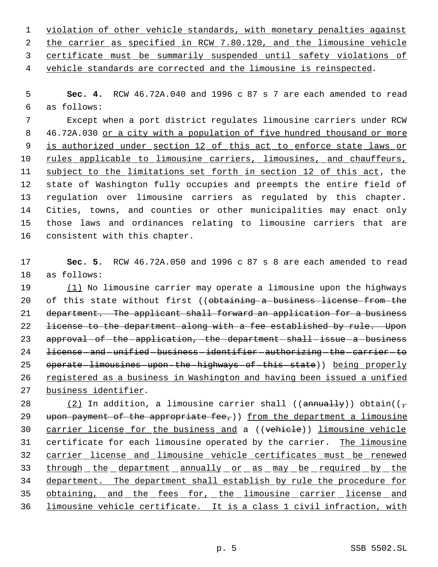1 violation of other vehicle standards, with monetary penalties against 2 the carrier as specified in RCW 7.80.120, and the limousine vehicle 3 certificate must be summarily suspended until safety violations of 4 vehicle standards are corrected and the limousine is reinspected.

 5 **Sec. 4.** RCW 46.72A.040 and 1996 c 87 s 7 are each amended to read 6 as follows:

 Except when a port district regulates limousine carriers under RCW 46.72A.030 or a city with a population of five hundred thousand or more is authorized under section 12 of this act to enforce state laws or 10 rules applicable to limousine carriers, limousines, and chauffeurs, 11 subject to the limitations set forth in section 12 of this act, the state of Washington fully occupies and preempts the entire field of regulation over limousine carriers as regulated by this chapter. Cities, towns, and counties or other municipalities may enact only those laws and ordinances relating to limousine carriers that are consistent with this chapter.

17 **Sec. 5.** RCW 46.72A.050 and 1996 c 87 s 8 are each amended to read 18 as follows:

19 (1) No limousine carrier may operate a limousine upon the highways 20 of this state without first ((obtaining a business license from the 21 department. The applicant shall forward an application for a business 22 license to the department along with a fee established by rule. Upon 23 approval of the application, the department shall issue a business 24 license - and - unified - business - identifier - authorizing - the - carrier - to 25 operate-limousines-upon-the-highways-of-this-state)) being properly 26 registered as a business in Washington and having been issued a unified 27 business identifier.

28 (2) In addition, a limousine carrier shall (( $\frac{1}{2}$ ) obtain(( $\frac{1}{7}$ ) 29 upon payment of the appropriate fee,)) from the department a limousine 30 carrier license for the business and a ((vehicle)) limousine vehicle 31 certificate for each limousine operated by the carrier. The limousine 32 carrier license and limousine vehicle certificates must be renewed 33 through the department annually or as may be required by the 34 department. The department shall establish by rule the procedure for 35 obtaining, and the fees for, the limousine carrier license and 36 limousine vehicle certificate. It is a class 1 civil infraction, with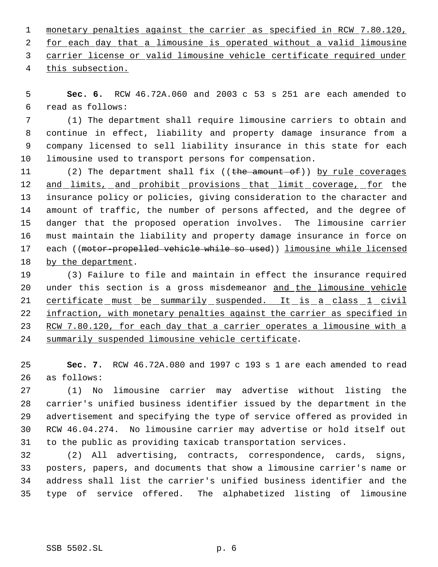1 monetary penalties against the carrier as specified in RCW 7.80.120, for each day that a limousine is operated without a valid limousine carrier license or valid limousine vehicle certificate required under this subsection.

 **Sec. 6.** RCW 46.72A.060 and 2003 c 53 s 251 are each amended to read as follows:

 (1) The department shall require limousine carriers to obtain and continue in effect, liability and property damage insurance from a company licensed to sell liability insurance in this state for each limousine used to transport persons for compensation.

11 (2) The department shall fix ((the amount of)) by rule coverages 12 and limits, and prohibit provisions that limit coverage, for the insurance policy or policies, giving consideration to the character and amount of traffic, the number of persons affected, and the degree of danger that the proposed operation involves. The limousine carrier must maintain the liability and property damage insurance in force on 17 each ((motor-propelled vehicle while so used)) limousine while licensed by the department.

 (3) Failure to file and maintain in effect the insurance required 20 under this section is a gross misdemeanor and the limousine vehicle 21 certificate must be summarily suspended. It is a class 1 civil 22 infraction, with monetary penalties against the carrier as specified in 23 RCW 7.80.120, for each day that a carrier operates a limousine with a summarily suspended limousine vehicle certificate.

 **Sec. 7.** RCW 46.72A.080 and 1997 c 193 s 1 are each amended to read as follows:

 (1) No limousine carrier may advertise without listing the carrier's unified business identifier issued by the department in the advertisement and specifying the type of service offered as provided in RCW 46.04.274. No limousine carrier may advertise or hold itself out to the public as providing taxicab transportation services.

 (2) All advertising, contracts, correspondence, cards, signs, posters, papers, and documents that show a limousine carrier's name or address shall list the carrier's unified business identifier and the type of service offered. The alphabetized listing of limousine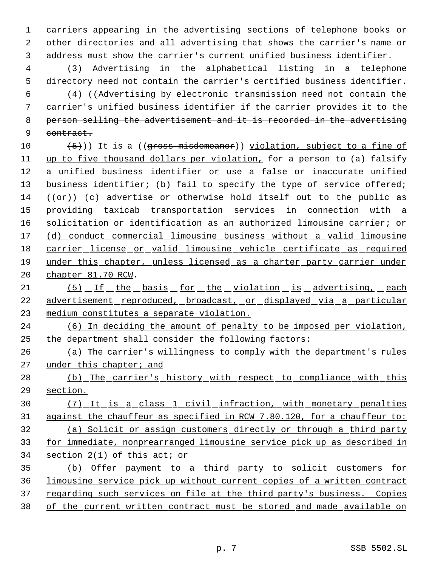carriers appearing in the advertising sections of telephone books or other directories and all advertising that shows the carrier's name or address must show the carrier's current unified business identifier.

 (3) Advertising in the alphabetical listing in a telephone directory need not contain the carrier's certified business identifier.

 (4) ((Advertising by electronic transmission need not contain the carrier's unified business identifier if the carrier provides it to the person selling the advertisement and it is recorded in the advertising 9 contract.

 $(5)$ ) It is a (( $\frac{45}{10}$ ) if  $\frac{5}{10}$  and  $\frac{1}{10}$  is a fine of up to five thousand dollars per violation, for a person to (a) falsify a unified business identifier or use a false or inaccurate unified 13 business identifier; (b) fail to specify the type of service offered;  $((\sigma \cdot \dot{r}))$  (c) advertise or otherwise hold itself out to the public as providing taxicab transportation services in connection with a 16 solicitation or identification as an authorized limousine carrier; or (d) conduct commercial limousine business without a valid limousine carrier license or valid limousine vehicle certificate as required under this chapter, unless licensed as a charter party carrier under chapter 81.70 RCW.

21 (5) If the basis for the violation is advertising, each advertisement reproduced, broadcast, or displayed via a particular medium constitutes a separate violation.

 (6) In deciding the amount of penalty to be imposed per violation, the department shall consider the following factors:

 (a) The carrier's willingness to comply with the department's rules under this chapter; and

28 (b) The carrier's history with respect to compliance with this section.

 (7) It is a class 1 civil infraction, with monetary penalties against the chauffeur as specified in RCW 7.80.120, for a chauffeur to: (a) Solicit or assign customers directly or through a third party for immediate, nonprearranged limousine service pick up as described in section 2(1) of this act; or

35 (b) Offer payment to a third party to solicit customers for limousine service pick up without current copies of a written contract 37 regarding such services on file at the third party's business. Copies of the current written contract must be stored and made available on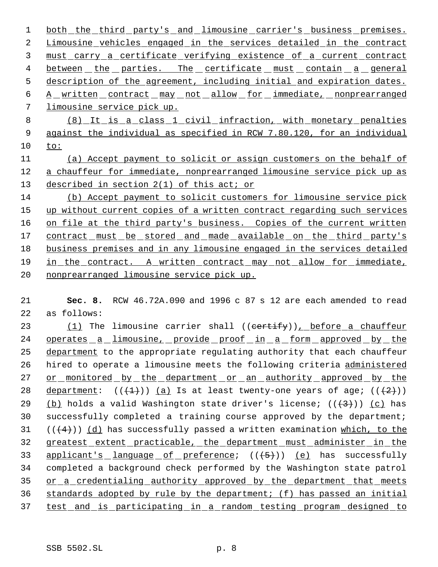1 both the third party's and limousine carrier's business premises. 2 Limousine vehicles engaged in the services detailed in the contract 3 must carry a certificate verifying existence of a current contract 4 between the parties. The certificate must contain a general 5 description of the agreement, including initial and expiration dates. 6 A written contract may not allow for immediate, nonprearranged 7 limousine service pick up. 8 (8) It is a class 1 civil infraction, with monetary penalties 9 against the individual as specified in RCW 7.80.120, for an individual 10 to: 11 (a) Accept payment to solicit or assign customers on the behalf of 12 a chauffeur for immediate, nonprearranged limousine service pick up as 13 described in section 2(1) of this act; or 14 (b) Accept payment to solicit customers for limousine service pick 15 up without current copies of a written contract regarding such services 16 on file at the third party's business. Copies of the current written 17 contract must be stored and made available on the third party's 18 business premises and in any limousine engaged in the services detailed 19 in the contract. A written contract may not allow for immediate, 20 nonprearranged limousine service pick up.

21 **Sec. 8.** RCW 46.72A.090 and 1996 c 87 s 12 are each amended to read 22 as follows:

23 (1) The limousine carrier shall ((certify)), before a chauffeur 24 operates a limousine, provide proof in a form approved by the 25 department to the appropriate regulating authority that each chauffeur 26 hired to operate a limousine meets the following criteria administered 27 or monitored by the department or an authority approved by the 28 department:  $((+1))$  (a) Is at least twenty-one years of age;  $((+2))$ 29 (b) holds a valid Washington state driver's license;  $((+3+))$  (c) has 30 successfully completed a training course approved by the department; 31  $((+4))$   $(d)$  has successfully passed a written examination which, to the 32 greatest extent practicable, the department must administer in the 33 applicant's language of preference;  $((+5))$  (e) has successfully 34 completed a background check performed by the Washington state patrol 35 or a credentialing authority approved by the department that meets 36 standards adopted by rule by the department; (f) has passed an initial 37 test and is participating in a random testing program designed to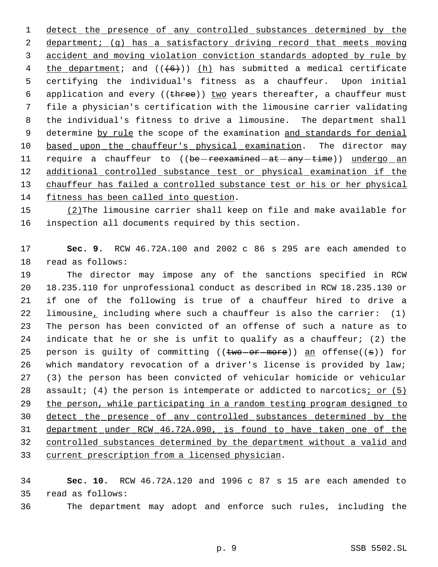1 detect the presence of any controlled substances determined by the 2 department; (g) has a satisfactory driving record that meets moving accident and moving violation conviction standards adopted by rule by 4 the department; and  $((+6))$  (h) has submitted a medical certificate certifying the individual's fitness as a chauffeur. Upon initial 6 application and every (( $t$ hree)) two years thereafter, a chauffeur must file a physician's certification with the limousine carrier validating the individual's fitness to drive a limousine. The department shall 9 determine by rule the scope of the examination and standards for denial 10 based upon the chauffeur's physical examination. The director may 11 require a chauffeur to ((be-reexamined-at-any-time)) undergo an 12 additional controlled substance test or physical examination if the 13 chauffeur has failed a controlled substance test or his or her physical fitness has been called into question.

 (2)The limousine carrier shall keep on file and make available for inspection all documents required by this section.

 **Sec. 9.** RCW 46.72A.100 and 2002 c 86 s 295 are each amended to read as follows:

 The director may impose any of the sanctions specified in RCW 18.235.110 for unprofessional conduct as described in RCW 18.235.130 or if one of the following is true of a chauffeur hired to drive a limousine, including where such a chauffeur is also the carrier: (1) The person has been convicted of an offense of such a nature as to indicate that he or she is unfit to qualify as a chauffeur; (2) the 25 person is guilty of committing (( $t$ wo-or-more)) an offense( $(s)$ ) for which mandatory revocation of a driver's license is provided by law; (3) the person has been convicted of vehicular homicide or vehicular 28 assault; (4) the person is intemperate or addicted to narcotics; or (5) the person, while participating in a random testing program designed to detect the presence of any controlled substances determined by the department under RCW 46.72A.090, is found to have taken one of the controlled substances determined by the department without a valid and current prescription from a licensed physician.

 **Sec. 10.** RCW 46.72A.120 and 1996 c 87 s 15 are each amended to read as follows:

The department may adopt and enforce such rules, including the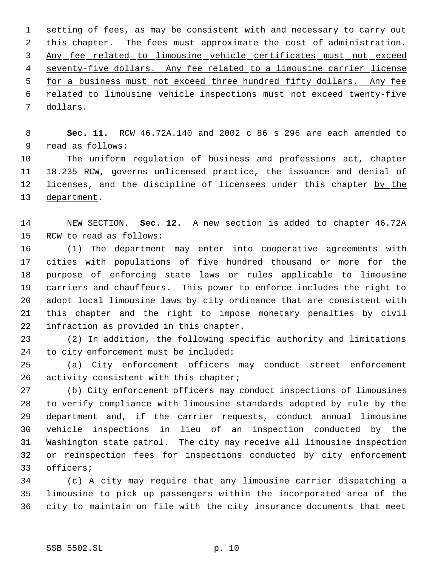setting of fees, as may be consistent with and necessary to carry out this chapter. The fees must approximate the cost of administration. Any fee related to limousine vehicle certificates must not exceed 4 seventy-five dollars. Any fee related to a limousine carrier license 5 for a business must not exceed three hundred fifty dollars. Any fee related to limousine vehicle inspections must not exceed twenty-five dollars.

 **Sec. 11.** RCW 46.72A.140 and 2002 c 86 s 296 are each amended to read as follows:

 The uniform regulation of business and professions act, chapter 18.235 RCW, governs unlicensed practice, the issuance and denial of 12 licenses, and the discipline of licensees under this chapter by the department.

 NEW SECTION. **Sec. 12.** A new section is added to chapter 46.72A RCW to read as follows:

 (1) The department may enter into cooperative agreements with cities with populations of five hundred thousand or more for the purpose of enforcing state laws or rules applicable to limousine carriers and chauffeurs. This power to enforce includes the right to adopt local limousine laws by city ordinance that are consistent with this chapter and the right to impose monetary penalties by civil infraction as provided in this chapter.

 (2) In addition, the following specific authority and limitations to city enforcement must be included:

 (a) City enforcement officers may conduct street enforcement 26 activity consistent with this chapter;

 (b) City enforcement officers may conduct inspections of limousines to verify compliance with limousine standards adopted by rule by the department and, if the carrier requests, conduct annual limousine vehicle inspections in lieu of an inspection conducted by the Washington state patrol. The city may receive all limousine inspection or reinspection fees for inspections conducted by city enforcement officers;

 (c) A city may require that any limousine carrier dispatching a limousine to pick up passengers within the incorporated area of the city to maintain on file with the city insurance documents that meet